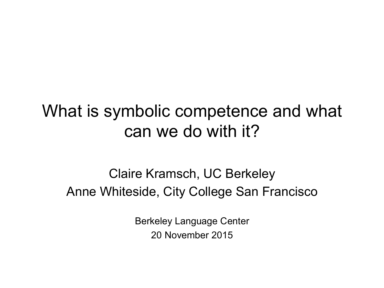## What is symbolic competence and what can we do with it?

## Claire Kramsch, UC Berkeley Anne Whiteside, City College San Francisco

Berkeley Language Center 20 November 2015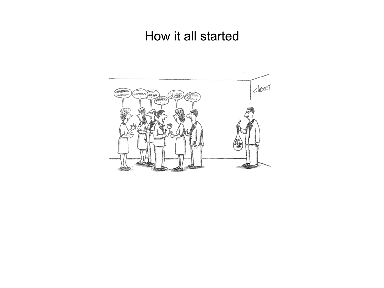## How it all started

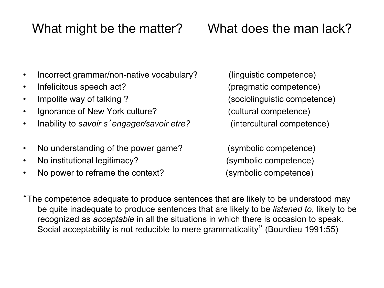## What might be the matter? What does the man lack?

- Incorrect grammar/non-native vocabulary? (linguistic competence)
- Infelicitous speech act? (pragmatic competence)
- 
- Ignorance of New York culture? (cultural competence)
- Inability to *savoir s*'*engager/savoir etre?* (intercultural competence)
- No understanding of the power game? (symbolic competence)
- No institutional legitimacy? (symbolic competence)
- No power to reframe the context? (symbolic competence)

• Impolite way of talking ?

"The competence adequate to produce sentences that are likely to be understood may be quite inadequate to produce sentences that are likely to be *listened to*, likely to be recognized as *acceptable* in all the situations in which there is occasion to speak. Social acceptability is not reducible to mere grammaticality" (Bourdieu 1991:55)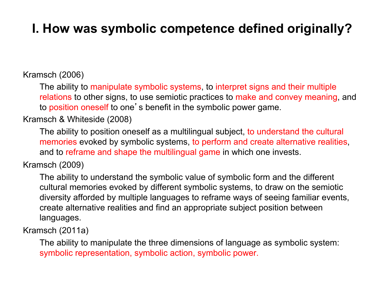## **I. How was symbolic competence defined originally?**

#### Kramsch (2006)

The ability to manipulate symbolic systems, to interpret signs and their multiple relations to other signs, to use semiotic practices to make and convey meaning, and to position oneself to one's benefit in the symbolic power game.

Kramsch & Whiteside (2008)

The ability to position oneself as a multilingual subject, to understand the cultural memories evoked by symbolic systems, to perform and create alternative realities, and to reframe and shape the multilingual game in which one invests.

#### Kramsch (2009)

The ability to understand the symbolic value of symbolic form and the different cultural memories evoked by different symbolic systems, to draw on the semiotic diversity afforded by multiple languages to reframe ways of seeing familiar events, create alternative realities and find an appropriate subject position between languages.

Kramsch (2011a)

The ability to manipulate the three dimensions of language as symbolic system: symbolic representation, symbolic action, symbolic power.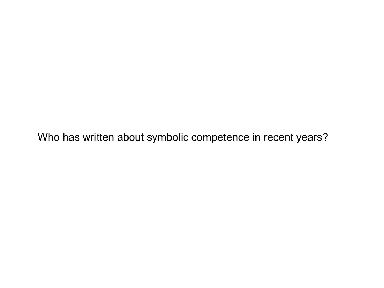Who has written about symbolic competence in recent years?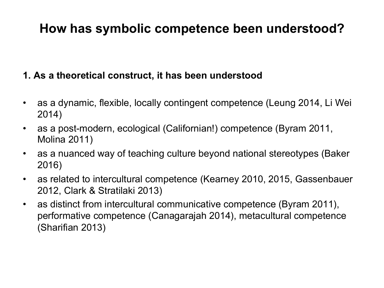## **How has symbolic competence been understood?**

### **1. As a theoretical construct, it has been understood**

- as a dynamic, flexible, locally contingent competence (Leung 2014, Li Wei 2014)
- as a post-modern, ecological (Californian!) competence (Byram 2011, Molina 2011)
- as a nuanced way of teaching culture beyond national stereotypes (Baker 2016)
- as related to intercultural competence (Kearney 2010, 2015, Gassenbauer 2012, Clark & Stratilaki 2013)
- as distinct from intercultural communicative competence (Byram 2011), performative competence (Canagarajah 2014), metacultural competence (Sharifian 2013)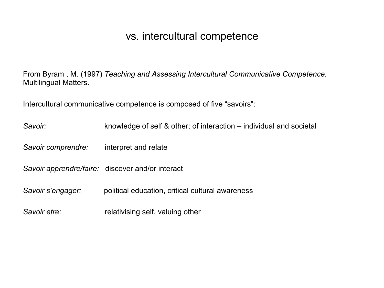### vs. intercultural competence

From Byram , M. (1997) *Teaching and Assessing Intercultural Communicative Competence.*  Multilingual Matters.

Intercultural communicative competence is composed of five "savoirs":

| Savoir:            | knowledge of self & other; of interaction – individual and societal |
|--------------------|---------------------------------------------------------------------|
| Savoir comprendre: | interpret and relate                                                |
|                    | Savoir apprendre/faire: discover and/or interact                    |
| Savoir s'engager:  | political education, critical cultural awareness                    |
| Savoir etre:       | relativising self, valuing other                                    |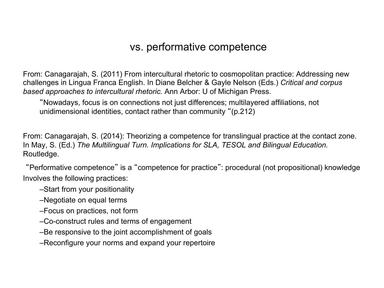### vs. performative competence

From: Canagarajah, S. (2011) From intercultural rhetoric to cosmopolitan practice: Addressing new challenges in Lingua Franca English. In Diane Belcher & Gayle Nelson (Eds.) *Critical and corpus based approaches to intercultural rhetoric.* Ann Arbor: U of Michigan Press.

"Nowadays, focus is on connections not just differences; multilayered affiliations, not unidimensional identities, contact rather than community "(p.212)

From: Canagarajah, S. (2014): Theorizing a competence for translingual practice at the contact zone. In May, S. (Ed.) *The Multilingual Turn. Implications for SLA, TESOL and Bilingual Education.*  Routledge.

"Performative competence" is a "competence for practice": procedural (not propositional) knowledge Involves the following practices:

–Start from your positionality

–Negotiate on equal terms

–Focus on practices, not form

–Co-construct rules and terms of engagement

–Be responsive to the joint accomplishment of goals

–Reconfigure your norms and expand your repertoire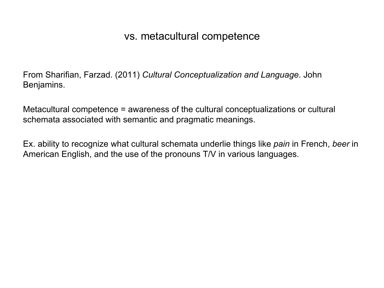### vs. metacultural competence

From Sharifian, Farzad. (2011) *Cultural Conceptualization and Language*. John Benjamins.

Metacultural competence = awareness of the cultural conceptualizations or cultural schemata associated with semantic and pragmatic meanings.

Ex. ability to recognize what cultural schemata underlie things like *pain* in French, *beer* in American English, and the use of the pronouns T/V in various languages.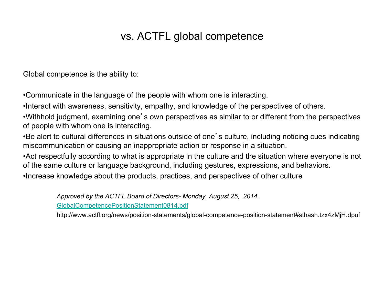### vs. ACTFL global competence

Global competence is the ability to:

•Communicate in the language of the people with whom one is interacting.

•Interact with awareness, sensitivity, empathy, and knowledge of the perspectives of others.

•Withhold judgment, examining one's own perspectives as similar to or different from the perspectives of people with whom one is interacting.

•Be alert to cultural differences in situations outside of one's culture, including noticing cues indicating miscommunication or causing an inappropriate action or response in a situation.

•Act respectfully according to what is appropriate in the culture and the situation where everyone is not of the same culture or language background, including gestures, expressions, and behaviors.

•Increase knowledge about the products, practices, and perspectives of other culture

*Approved by the ACTFL Board of Directors- Monday, August 25, 2014.* GlobalCompetencePositionStatement0814.pdf

http://www.actfl.org/news/position-statements/global-competence-position-statement#sthash.tzx4zMjH.dpuf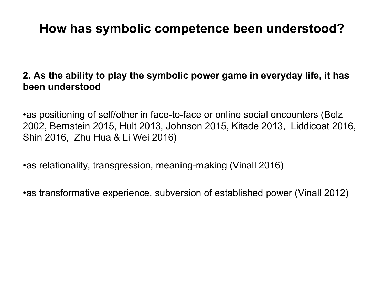### **How has symbolic competence been understood?**

### **2. As the ability to play the symbolic power game in everyday life, it has been understood**

•as positioning of self/other in face-to-face or online social encounters (Belz 2002, Bernstein 2015, Hult 2013, Johnson 2015, Kitade 2013, Liddicoat 2016, Shin 2016, Zhu Hua & Li Wei 2016)

•as relationality, transgression, meaning-making (Vinall 2016)

•as transformative experience, subversion of established power (Vinall 2012)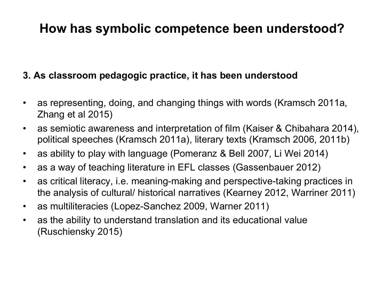### **How has symbolic competence been understood?**

### **3. As classroom pedagogic practice, it has been understood**

- as representing, doing, and changing things with words (Kramsch 2011a, Zhang et al 2015)
- as semiotic awareness and interpretation of film (Kaiser & Chibahara 2014), political speeches (Kramsch 2011a), literary texts (Kramsch 2006, 2011b)
- as ability to play with language (Pomeranz & Bell 2007, Li Wei 2014)
- as a way of teaching literature in EFL classes (Gassenbauer 2012)
- as critical literacy, i.e. meaning-making and perspective-taking practices in the analysis of cultural/ historical narratives (Kearney 2012, Warriner 2011)
- as multiliteracies (Lopez-Sanchez 2009, Warner 2011)
- as the ability to understand translation and its educational value (Ruschiensky 2015)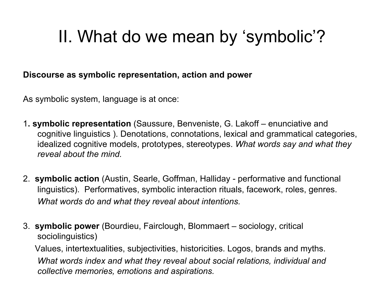## II. What do we mean by 'symbolic'?

#### **Discourse as symbolic representation, action and power**

As symbolic system, language is at once:

- 1**. symbolic representation** (Saussure, Benveniste, G. Lakoff enunciative and cognitive linguistics ). Denotations, connotations, lexical and grammatical categories, idealized cognitive models, prototypes, stereotypes. *What words say and what they reveal about the mind.*
- 2. **symbolic action** (Austin, Searle, Goffman, Halliday performative and functional linguistics). Performatives, symbolic interaction rituals, facework, roles, genres. *What words do and what they reveal about intentions.*
- 3. **symbolic power** (Bourdieu, Fairclough, Blommaert sociology, critical sociolinguistics)

 Values, intertextualities, subjectivities, historicities. Logos, brands and myths. *What words index and what they reveal about social relations, individual and collective memories, emotions and aspirations.*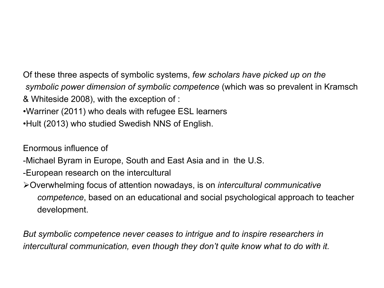Of these three aspects of symbolic systems, *few scholars have picked up on the symbolic power dimension of symbolic competence* (which was so prevalent in Kramsch & Whiteside 2008), with the exception of :

- •Warriner (2011) who deals with refugee ESL learners
- •Hult (2013) who studied Swedish NNS of English.

Enormous influence of

- -Michael Byram in Europe, South and East Asia and in the U.S.
- -European research on the intercultural
- ØOverwhelming focus of attention nowadays, is on *intercultural communicative competence*, based on an educational and social psychological approach to teacher development.

*But symbolic competence never ceases to intrigue and to inspire researchers in intercultural communication, even though they don't quite know what to do with it.*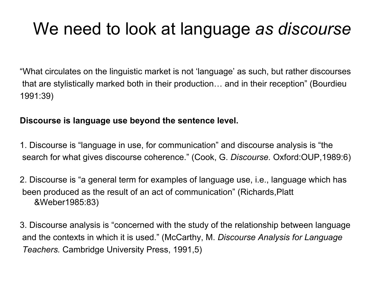## We need to look at language *as discourse*

"What circulates on the linguistic market is not 'language' as such, but rather discourses that are stylistically marked both in their production… and in their reception" (Bourdieu 1991:39)

#### **Discourse is language use beyond the sentence level.**

1. Discourse is "language in use, for communication" and discourse analysis is "the search for what gives discourse coherence." (Cook, G. *Discourse.* Oxford:OUP,1989:6)

2. Discourse is "a general term for examples of language use, i.e., language which has been produced as the result of an act of communication" (Richards,Platt &Weber1985:83)

3. Discourse analysis is "concerned with the study of the relationship between language and the contexts in which it is used." (McCarthy, M. *Discourse Analysis for Language Teachers.* Cambridge University Press, 1991,5)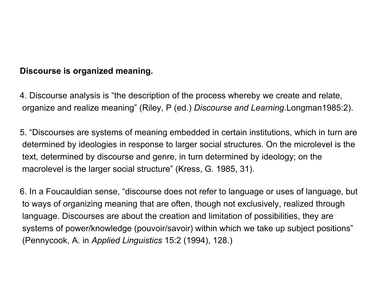#### **Discourse is organized meaning.**

4. Discourse analysis is "the description of the process whereby we create and relate, organize and realize meaning" (Riley, P (ed.) *Discourse and Learning*.Longman1985:2).

5. "Discourses are systems of meaning embedded in certain institutions, which in turn are determined by ideologies in response to larger social structures. On the microlevel is the text, determined by discourse and genre, in turn determined by ideology; on the macrolevel is the larger social structure" (Kress, G. 1985, 31).

6. In a Foucauldian sense, "discourse does not refer to language or uses of language, but to ways of organizing meaning that are often, though not exclusively, realized through language. Discourses are about the creation and limitation of possibilities, they are systems of power/knowledge (pouvoir/savoir) within which we take up subject positions" (Pennycook, A. in *Applied Linguistics* 15:2 (1994), 128.)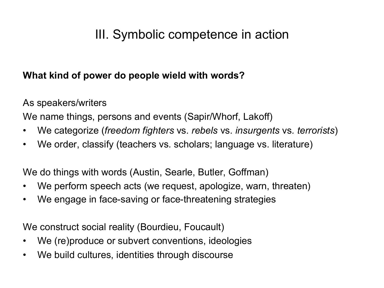## III. Symbolic competence in action

### **What kind of power do people wield with words?**

As speakers/writers

We name things, persons and events (Sapir/Whorf, Lakoff)

- We categorize (*freedom fighters* vs. *rebels* vs. *insurgents* vs*. terrorists*)
- We order, classify (teachers vs. scholars; language vs. literature)

We do things with words (Austin, Searle, Butler, Goffman)

- We perform speech acts (we request, apologize, warn, threaten)
- We engage in face-saving or face-threatening strategies

We construct social reality (Bourdieu, Foucault)

- We (re)produce or subvert conventions, ideologies
- We build cultures, identities through discourse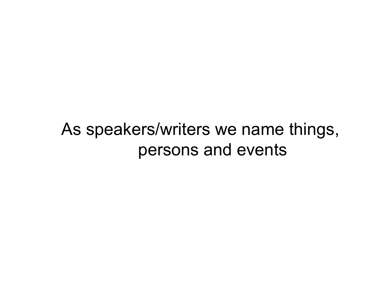## As speakers/writers we name things, persons and events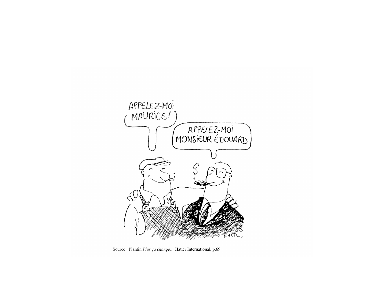

Source : Plantin Plus ça change... Hatier International, p.69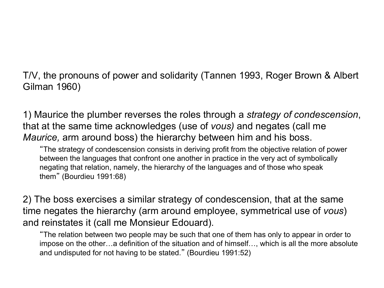T/V, the pronouns of power and solidarity (Tannen 1993, Roger Brown & Albert Gilman 1960)

1) Maurice the plumber reverses the roles through a *strategy of condescension*, that at the same time acknowledges (use of *vous)* and negates (call me *Maurice,* arm around boss) the hierarchy between him and his boss.

"The strategy of condescension consists in deriving profit from the objective relation of power between the languages that confront one another in practice in the very act of symbolically negating that relation, namely, the hierarchy of the languages and of those who speak them" (Bourdieu 1991:68)

2) The boss exercises a similar strategy of condescension, that at the same time negates the hierarchy (arm around employee, symmetrical use of *vous*) and reinstates it (call me Monsieur Edouard).

"The relation between two people may be such that one of them has only to appear in order to impose on the other…a definition of the situation and of himself…, which is all the more absolute and undisputed for not having to be stated." (Bourdieu 1991:52)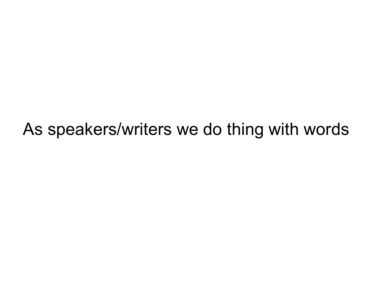## As speakers/writers we do thing with words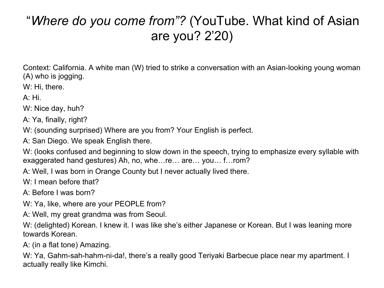## "*Where do you come from"?* (YouTube. What kind of Asian are you? 2'20)

Context: California. A white man (W) tried to strike a conversation with an Asian-looking young woman (A) who is jogging.

W: Hi, there.

A: Hi.

W: Nice day, huh?

A: Ya, finally, right?

W: (sounding surprised) Where are you from? Your English is perfect.

A: San Diego. We speak English there.

W: (looks confused and beginning to slow down in the speech, trying to emphasize every syllable with exaggerated hand gestures) Ah, no, whe…re… are… you… f…rom?

A: Well, I was born in Orange County but I never actually lived there.

W: I mean before that?

A: Before I was born?

W: Ya, like, where are your PEOPLE from?

A: Well, my great grandma was from Seoul.

W: (delighted) Korean. I knew it. I was like she's either Japanese or Korean. But I was leaning more towards Korean.

A: (in a flat tone) Amazing.

W: Ya, Gahm-sah-hahm-ni-da!, there's a really good Teriyaki Barbecue place near my apartment. I actually really like Kimchi.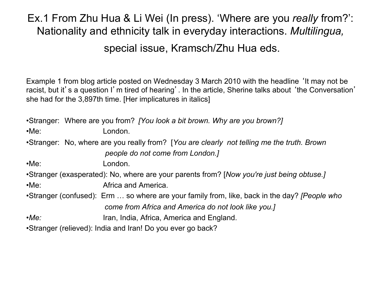### Ex.1 From Zhu Hua & Li Wei (In press). 'Where are you *really* from?': Nationality and ethnicity talk in everyday interactions. *Multilingua,* special issue, Kramsch/Zhu Hua eds.

Example 1 from blog article posted on Wednesday 3 March 2010 with the headline 'It may not be racist, but it's a question I'm tired of hearing'. In the article, Sherine talks about 'the Conversation' she had for the 3,897th time. [Her implicatures in italics]

•Stranger: Where are you from? *[You look a bit brown. Why are you brown?]*  •Me: London. •Stranger: No, where are you really from? [*You are clearly not telling me the truth. Brown people do not come from London.]*  •Me: London. •Stranger (exasperated): No, where are your parents from? [*Now you're just being obtuse.]*  •Me: Africa and America. •Stranger (confused): Erm … so where are your family from, like, back in the day? *[People who come from Africa and America do not look like you.]*  •*Me:* Iran, India, Africa, America and England. •Stranger (relieved): India and Iran! Do you ever go back?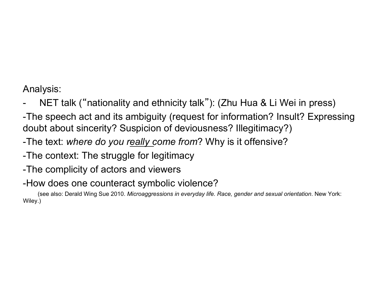Analysis:

- NET talk ("nationality and ethnicity talk"): (Zhu Hua & Li Wei in press)
- -The speech act and its ambiguity (request for information? Insult? Expressing doubt about sincerity? Suspicion of deviousness? Illegitimacy?)
- -The text: *where do you really come from*? Why is it offensive?
- -The context: The struggle for legitimacy
- -The complicity of actors and viewers
- -How does one counteract symbolic violence?

 (see also: Derald Wing Sue 2010. *Microaggressions in everyday life. Race, gender and sexual orientation*. New York: Wiley.)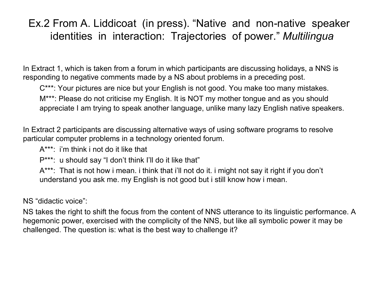### Ex.2 From A. Liddicoat (in press). "Native and non-native speaker identities in interaction: Trajectories of power." *Multilingua*

In Extract 1, which is taken from a forum in which participants are discussing holidays, a NNS is responding to negative comments made by a NS about problems in a preceding post.

C\*\*\*: Your pictures are nice but your English is not good. You make too many mistakes. M\*\*\*: Please do not criticise my English. It is NOT my mother tongue and as you should appreciate I am trying to speak another language, unlike many lazy English native speakers.

In Extract 2 participants are discussing alternative ways of using software programs to resolve particular computer problems in a technology oriented forum.

A\*\*\*: i'm think i not do it like that

P\*\*\*: u should say "I don't think I'll do it like that"

A\*\*\*: That is not how i mean. i think that i'll not do it. i might not say it right if you don't understand you ask me. my English is not good but i still know how i mean.

NS "didactic voice":

NS takes the right to shift the focus from the content of NNS utterance to its linguistic performance. A hegemonic power, exercised with the complicity of the NNS, but like all symbolic power it may be challenged. The question is: what is the best way to challenge it?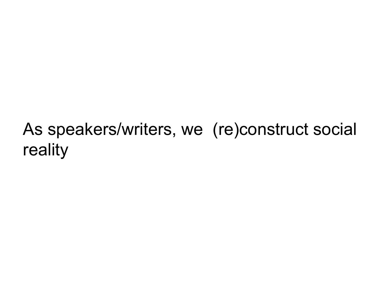# As speakers/writers, we (re)construct social reality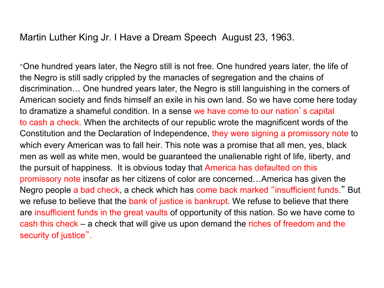Martin Luther King Jr. I Have a Dream Speech August 23, 1963.

"One hundred years later, the Negro still is not free. One hundred years later, the life of the Negro is still sadly crippled by the manacles of segregation and the chains of discrimination… One hundred years later, the Negro is still languishing in the corners of American society and finds himself an exile in his own land. So we have come here today to dramatize a shameful condition. In a sense we have come to our nation's capital to cash a check. When the architects of our republic wrote the magnificent words of the Constitution and the Declaration of Independence, they were signing a promissory note to which every American was to fall heir. This note was a promise that all men, yes, black men as well as white men, would be guaranteed the unalienable right of life, liberty, and the pursuit of happiness. It is obvious today that America has defaulted on this promissory note insofar as her citizens of color are concerned…America has given the Negro people a bad check, a check which has come back marked "insufficient funds." But we refuse to believe that the bank of justice is bankrupt. We refuse to believe that there are insufficient funds in the great vaults of opportunity of this nation. So we have come to cash this check – a check that will give us upon demand the riches of freedom and the security of justice".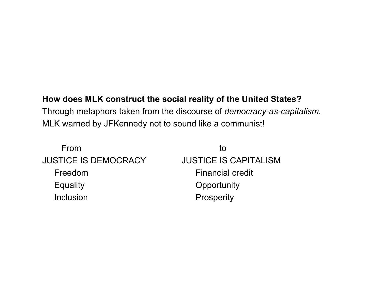#### **How does MLK construct the social reality of the United States?**

Through metaphors taken from the discourse of *democracy-as-capitalism.*  MLK warned by JFKennedy not to sound like a communist!

| tΟ                           |
|------------------------------|
| <b>JUSTICE IS CAPITALISM</b> |
| <b>Financial credit</b>      |
| Opportunity                  |
| Prosperity                   |
|                              |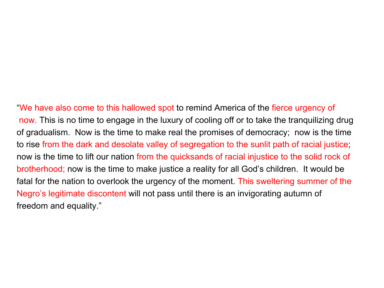"We have also come to this hallowed spot to remind America of the fierce urgency of now. This is no time to engage in the luxury of cooling off or to take the tranquilizing drug of gradualism. Now is the time to make real the promises of democracy; now is the time to rise from the dark and desolate valley of segregation to the sunlit path of racial justice; now is the time to lift our nation from the quicksands of racial injustice to the solid rock of brotherhood; now is the time to make justice a reality for all God's children. It would be fatal for the nation to overlook the urgency of the moment. This sweltering summer of the Negro's legitimate discontent will not pass until there is an invigorating autumn of freedom and equality."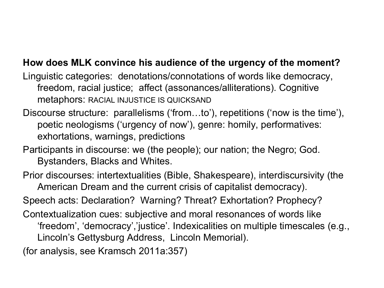### **How does MLK convince his audience of the urgency of the moment?**

Linguistic categories: denotations/connotations of words like democracy, freedom, racial justice; affect (assonances/alliterations). Cognitive metaphors: RACIAL INJUSTICE IS QUICKSAND

Discourse structure: parallelisms ('from…to'), repetitions ('now is the time'), poetic neologisms ('urgency of now'), genre: homily, performatives: exhortations, warnings, predictions

Participants in discourse: we (the people); our nation; the Negro; God. Bystanders, Blacks and Whites.

Prior discourses: intertextualities (Bible, Shakespeare), interdiscursivity (the American Dream and the current crisis of capitalist democracy).

Speech acts: Declaration? Warning? Threat? Exhortation? Prophecy?

Contextualization cues: subjective and moral resonances of words like 'freedom', 'democracy','justice'. Indexicalities on multiple timescales (e.g., Lincoln's Gettysburg Address, Lincoln Memorial).

(for analysis, see Kramsch 2011a:357)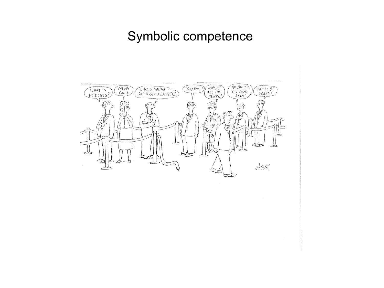### Symbolic competence

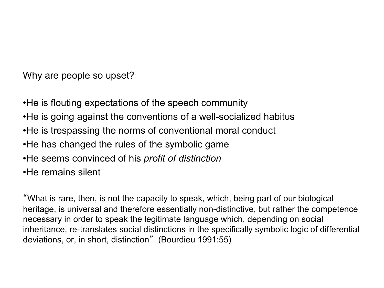Why are people so upset?

•He is flouting expectations of the speech community •He is going against the conventions of a well-socialized habitus •He is trespassing the norms of conventional moral conduct •He has changed the rules of the symbolic game •He seems convinced of his *profit of distinction*  •He remains silent

"What is rare, then, is not the capacity to speak, which, being part of our biological heritage, is universal and therefore essentially non-distinctive, but rather the competence necessary in order to speak the legitimate language which, depending on social inheritance, re-translates social distinctions in the specifically symbolic logic of differential deviations, or, in short, distinction" (Bourdieu 1991:55)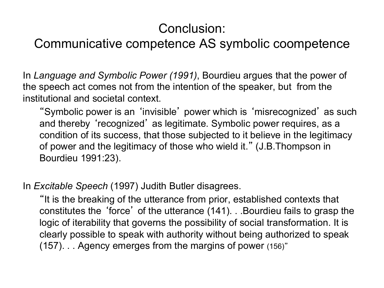## Conclusion:

### Communicative competence AS symbolic coompetence

In *Language and Symbolic Power (1991)*, Bourdieu argues that the power of the speech act comes not from the intention of the speaker, but from the institutional and societal context.

"Symbolic power is an 'invisible' power which is 'misrecognized' as such and thereby 'recognized' as legitimate. Symbolic power requires, as a condition of its success, that those subjected to it believe in the legitimacy of power and the legitimacy of those who wield it." (J.B.Thompson in Bourdieu 1991:23).

In *Excitable Speech* (1997) Judith Butler disagrees.

"It is the breaking of the utterance from prior, established contexts that constitutes the 'force' of the utterance (141). . .Bourdieu fails to grasp the logic of iterability that governs the possibility of social transformation. It is clearly possible to speak with authority without being authorized to speak (157). . . Agency emerges from the margins of power (156)"